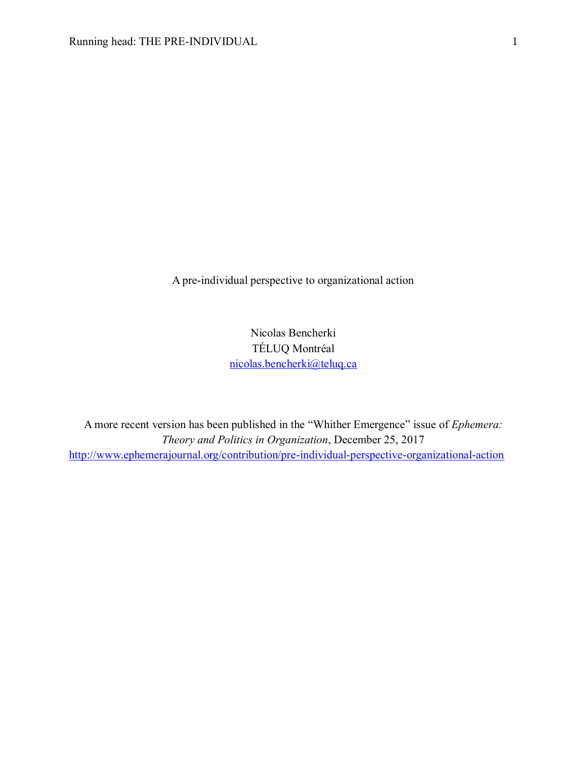A pre-individual perspective to organizational action

Nicolas Bencherki TÉLUQ Montréal [nicolas.bencherki@teluq.ca](mailto:nicolas.bencherki@teluq.ca)

A more recent version has been published in the "Whither Emergence" issue of *Ephemera: Theory and Politics in Organization*, December 25, 2017 <http://www.ephemerajournal.org/contribution/pre-individual-perspective-organizational-action>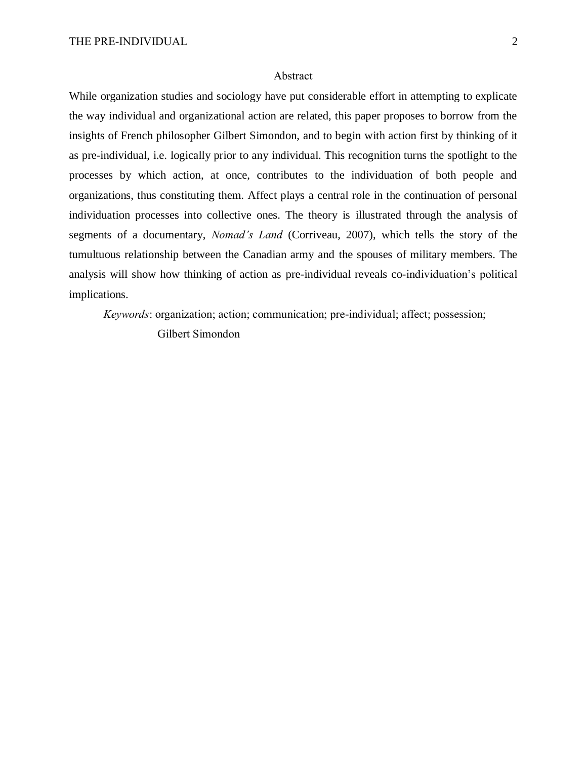#### Abstract

While organization studies and sociology have put considerable effort in attempting to explicate the way individual and organizational action are related, this paper proposes to borrow from the insights of French philosopher Gilbert Simondon, and to begin with action first by thinking of it as pre-individual, i.e. logically prior to any individual. This recognition turns the spotlight to the processes by which action, at once, contributes to the individuation of both people and organizations, thus constituting them. Affect plays a central role in the continuation of personal individuation processes into collective ones. The theory is illustrated through the analysis of segments of a documentary, *Nomad's Land* (Corriveau, 2007), which tells the story of the tumultuous relationship between the Canadian army and the spouses of military members. The analysis will show how thinking of action as pre-individual reveals co-individuation's political implications.

*Keywords*: organization; action; communication; pre-individual; affect; possession;

Gilbert Simondon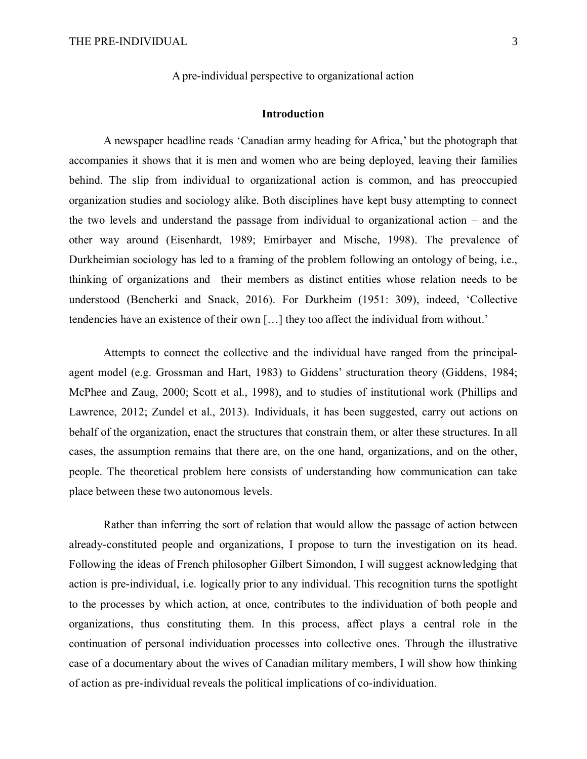A pre-individual perspective to organizational action

# **Introduction**

A newspaper headline reads 'Canadian army heading for Africa,' but the photograph that accompanies it shows that it is men and women who are being deployed, leaving their families behind. The slip from individual to organizational action is common, and has preoccupied organization studies and sociology alike. Both disciplines have kept busy attempting to connect the two levels and understand the passage from individual to organizational action  $-$  and the other way around (Eisenhardt, 1989; Emirbayer and Mische, 1998). The prevalence of Durkheimian sociology has led to a framing of the problem following an ontology of being, i.e., thinking of organizations and their members as distinct entities whose relation needs to be understood (Bencherki and Snack, 2016). For Durkheim (1951: 309), indeed, 'Collective tendencies have an existence of their own […] they too affect the individual from without.'

Attempts to connect the collective and the individual have ranged from the principalagent model (e.g. Grossman and Hart, 1983) to Giddens' structuration theory (Giddens, 1984; McPhee and Zaug, 2000; Scott et al., 1998), and to studies of institutional work (Phillips and Lawrence, 2012; Zundel et al., 2013). Individuals, it has been suggested, carry out actions on behalf of the organization, enact the structures that constrain them, or alter these structures. In all cases, the assumption remains that there are, on the one hand, organizations, and on the other, people. The theoretical problem here consists of understanding how communication can take place between these two autonomous levels.

Rather than inferring the sort of relation that would allow the passage of action between already-constituted people and organizations, I propose to turn the investigation on its head. Following the ideas of French philosopher Gilbert Simondon, I will suggest acknowledging that action is pre-individual, i.e. logically prior to any individual. This recognition turns the spotlight to the processes by which action, at once, contributes to the individuation of both people and organizations, thus constituting them. In this process, affect plays a central role in the continuation of personal individuation processes into collective ones. Through the illustrative case of a documentary about the wives of Canadian military members, I will show how thinking of action as pre-individual reveals the political implications of co-individuation.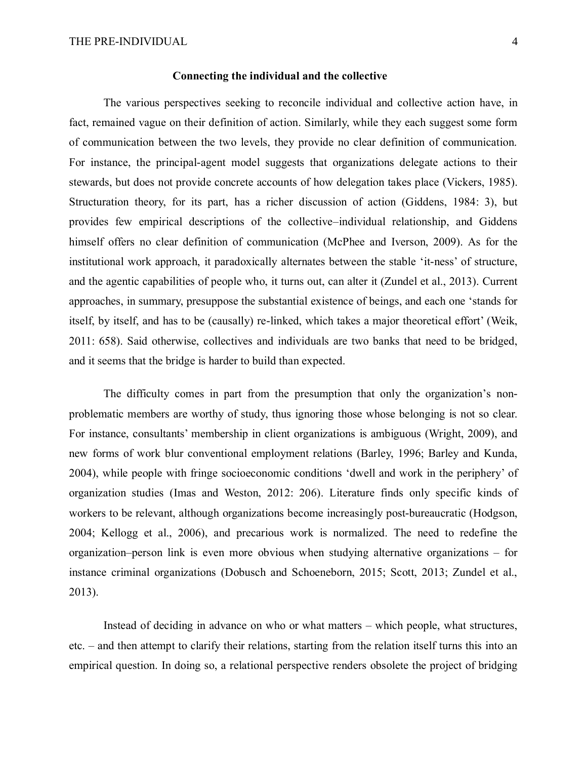#### **Connecting the individual and the collective**

The various perspectives seeking to reconcile individual and collective action have, in fact, remained vague on their definition of action. Similarly, while they each suggest some form of communication between the two levels, they provide no clear definition of communication. For instance, the principal-agent model suggests that organizations delegate actions to their stewards, but does not provide concrete accounts of how delegation takes place (Vickers, 1985). Structuration theory, for its part, has a richer discussion of action (Giddens, 1984: 3), but provides few empirical descriptions of the collective–individual relationship, and Giddens himself offers no clear definition of communication (McPhee and Iverson, 2009). As for the institutional work approach, it paradoxically alternates between the stable 'it-ness' of structure, and the agentic capabilities of people who, it turns out, can alter it (Zundel et al., 2013). Current approaches, in summary, presuppose the substantial existence of beings, and each one 'stands for itself, by itself, and has to be (causally) re-linked, which takes a major theoretical effort' (Weik, 2011: 658). Said otherwise, collectives and individuals are two banks that need to be bridged, and it seems that the bridge is harder to build than expected.

The difficulty comes in part from the presumption that only the organization's nonproblematic members are worthy of study, thus ignoring those whose belonging is not so clear. For instance, consultants' membership in client organizations is ambiguous (Wright, 2009), and new forms of work blur conventional employment relations (Barley, 1996; Barley and Kunda, 2004), while people with fringe socioeconomic conditions 'dwell and work in the periphery' of organization studies (Imas and Weston, 2012: 206). Literature finds only specific kinds of workers to be relevant, although organizations become increasingly post-bureaucratic (Hodgson, 2004; Kellogg et al., 2006), and precarious work is normalized. The need to redefine the organization–person link is even more obvious when studying alternative organizations – for instance criminal organizations (Dobusch and Schoeneborn, 2015; Scott, 2013; Zundel et al., 2013).

Instead of deciding in advance on who or what matters – which people, what structures, etc. – and then attempt to clarify their relations, starting from the relation itself turns this into an empirical question. In doing so, a relational perspective renders obsolete the project of bridging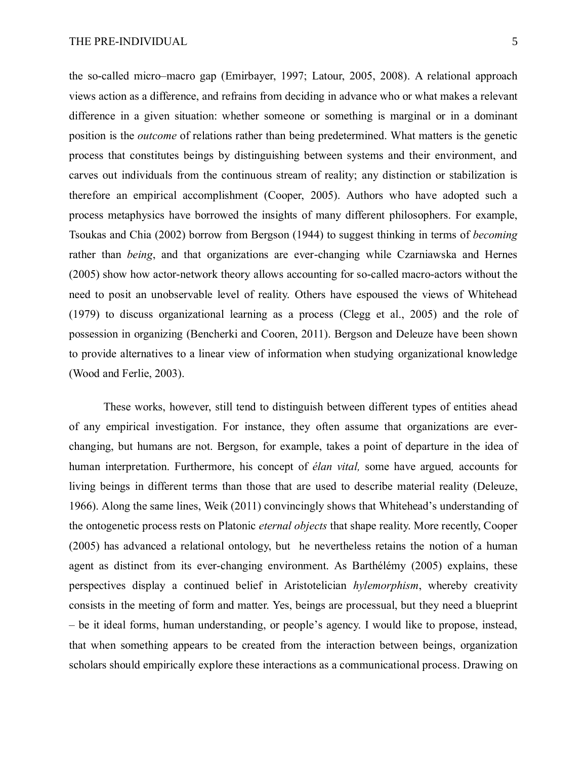the so-called micro–macro gap (Emirbayer, 1997; Latour, 2005, 2008). A relational approach views action as a difference, and refrains from deciding in advance who or what makes a relevant difference in a given situation: whether someone or something is marginal or in a dominant position is the *outcome* of relations rather than being predetermined. What matters is the genetic process that constitutes beings by distinguishing between systems and their environment, and carves out individuals from the continuous stream of reality; any distinction or stabilization is therefore an empirical accomplishment (Cooper, 2005). Authors who have adopted such a process metaphysics have borrowed the insights of many different philosophers. For example, Tsoukas and Chia (2002) borrow from Bergson (1944) to suggest thinking in terms of *becoming*  rather than *being*, and that organizations are ever-changing while Czarniawska and Hernes (2005) show how actor-network theory allows accounting for so-called macro-actors without the need to posit an unobservable level of reality. Others have espoused the views of Whitehead (1979) to discuss organizational learning as a process (Clegg et al., 2005) and the role of possession in organizing (Bencherki and Cooren, 2011). Bergson and Deleuze have been shown to provide alternatives to a linear view of information when studying organizational knowledge (Wood and Ferlie, 2003).

These works, however, still tend to distinguish between different types of entities ahead of any empirical investigation. For instance, they often assume that organizations are everchanging, but humans are not. Bergson, for example, takes a point of departure in the idea of human interpretation. Furthermore, his concept of *élan vital,* some have argued*,* accounts for living beings in different terms than those that are used to describe material reality (Deleuze, 1966). Along the same lines, Weik (2011) convincingly shows that Whitehead's understanding of the ontogenetic process rests on Platonic *eternal objects* that shape reality. More recently, Cooper (2005) has advanced a relational ontology, but he nevertheless retains the notion of a human agent as distinct from its ever-changing environment. As Barthélémy (2005) explains, these perspectives display a continued belief in Aristotelician *hylemorphism*, whereby creativity consists in the meeting of form and matter. Yes, beings are processual, but they need a blueprint – be it ideal forms, human understanding, or people's agency. I would like to propose, instead, that when something appears to be created from the interaction between beings, organization scholars should empirically explore these interactions as a communicational process. Drawing on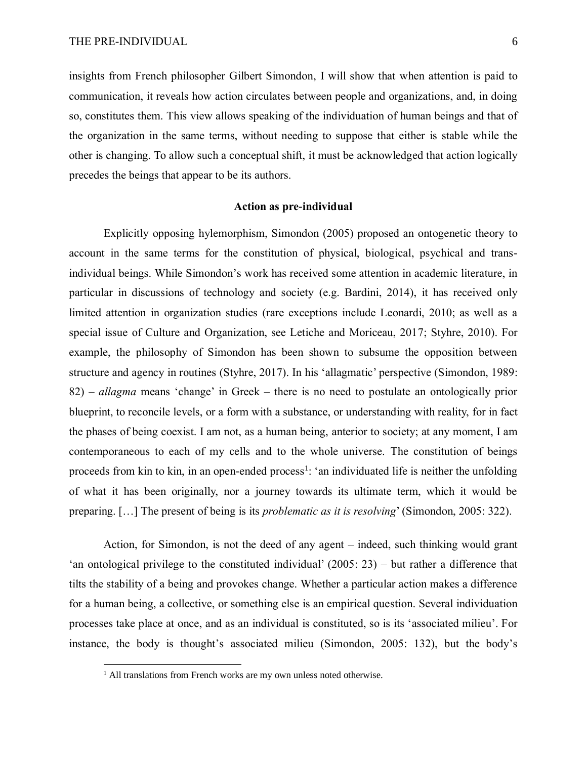insights from French philosopher Gilbert Simondon, I will show that when attention is paid to communication, it reveals how action circulates between people and organizations, and, in doing so, constitutes them. This view allows speaking of the individuation of human beings and that of the organization in the same terms, without needing to suppose that either is stable while the other is changing. To allow such a conceptual shift, it must be acknowledged that action logically precedes the beings that appear to be its authors.

# **Action as pre-individual**

Explicitly opposing hylemorphism, Simondon (2005) proposed an ontogenetic theory to account in the same terms for the constitution of physical, biological, psychical and transindividual beings. While Simondon's work has received some attention in academic literature, in particular in discussions of technology and society (e.g. Bardini, 2014), it has received only limited attention in organization studies (rare exceptions include Leonardi, 2010; as well as a special issue of Culture and Organization, see Letiche and Moriceau, 2017; Styhre, 2010). For example, the philosophy of Simondon has been shown to subsume the opposition between structure and agency in routines (Styhre, 2017). In his 'allagmatic' perspective (Simondon, 1989: 82) – *allagma* means 'change' in Greek – there is no need to postulate an ontologically prior blueprint, to reconcile levels, or a form with a substance, or understanding with reality, for in fact the phases of being coexist. I am not, as a human being, anterior to society; at any moment, I am contemporaneous to each of my cells and to the whole universe. The constitution of beings proceeds from kin to kin, in an open-ended process<sup>1</sup>: 'an individuated life is neither the unfolding of what it has been originally, nor a journey towards its ultimate term, which it would be preparing. […] The present of being is its *problematic as it is resolving*' (Simondon, 2005: 322).

Action, for Simondon, is not the deed of any agent – indeed, such thinking would grant 'an ontological privilege to the constituted individual' (2005: 23) – but rather a difference that tilts the stability of a being and provokes change. Whether a particular action makes a difference for a human being, a collective, or something else is an empirical question. Several individuation processes take place at once, and as an individual is constituted, so is its 'associated milieu'. For instance, the body is thought's associated milieu (Simondon, 2005: 132), but the body's

 $\overline{a}$ 

<sup>&</sup>lt;sup>1</sup> All translations from French works are my own unless noted otherwise.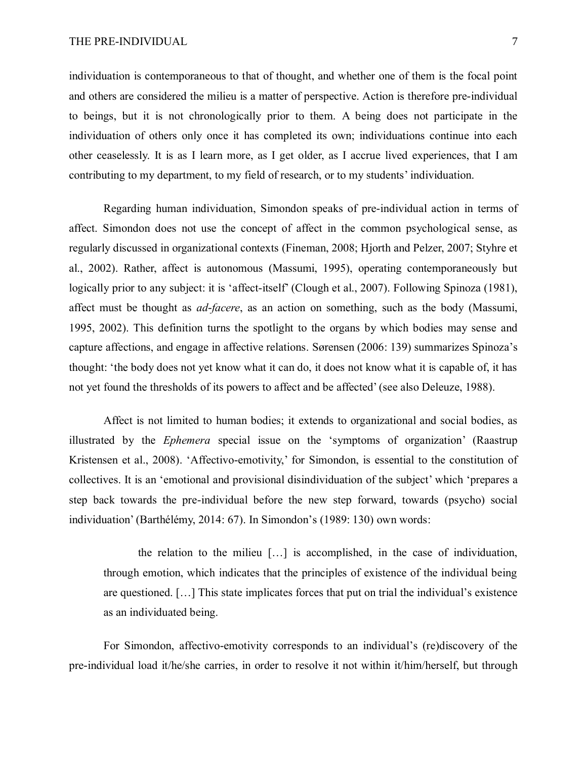individuation is contemporaneous to that of thought, and whether one of them is the focal point and others are considered the milieu is a matter of perspective. Action is therefore pre-individual to beings, but it is not chronologically prior to them. A being does not participate in the individuation of others only once it has completed its own; individuations continue into each other ceaselessly. It is as I learn more, as I get older, as I accrue lived experiences, that I am contributing to my department, to my field of research, or to my students' individuation.

Regarding human individuation, Simondon speaks of pre-individual action in terms of affect. Simondon does not use the concept of affect in the common psychological sense, as regularly discussed in organizational contexts (Fineman, 2008; Hjorth and Pelzer, 2007; Styhre et al., 2002). Rather, affect is autonomous (Massumi, 1995), operating contemporaneously but logically prior to any subject: it is 'affect-itself' (Clough et al., 2007). Following Spinoza (1981), affect must be thought as *ad-facere*, as an action on something, such as the body (Massumi, 1995, 2002). This definition turns the spotlight to the organs by which bodies may sense and capture affections, and engage in affective relations. Sørensen (2006: 139) summarizes Spinoza's thought: 'the body does not yet know what it can do, it does not know what it is capable of, it has not yet found the thresholds of its powers to affect and be affected' (see also Deleuze, 1988).

Affect is not limited to human bodies; it extends to organizational and social bodies, as illustrated by the *Ephemera* special issue on the 'symptoms of organization' (Raastrup Kristensen et al., 2008). 'Affectivo-emotivity,' for Simondon, is essential to the constitution of collectives. It is an 'emotional and provisional disindividuation of the subject' which 'prepares a step back towards the pre-individual before the new step forward, towards (psycho) social individuation' (Barthélémy, 2014: 67). In Simondon's (1989: 130) own words:

the relation to the milieu […] is accomplished, in the case of individuation, through emotion, which indicates that the principles of existence of the individual being are questioned. […] This state implicates forces that put on trial the individual's existence as an individuated being.

For Simondon, affectivo-emotivity corresponds to an individual's (re)discovery of the pre-individual load it/he/she carries, in order to resolve it not within it/him/herself, but through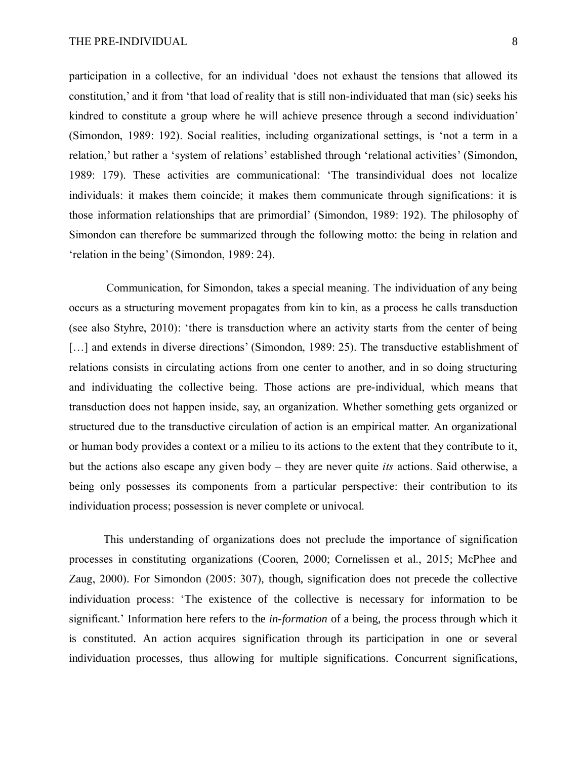participation in a collective, for an individual 'does not exhaust the tensions that allowed its constitution,' and it from 'that load of reality that is still non-individuated that man (sic) seeks his kindred to constitute a group where he will achieve presence through a second individuation' (Simondon, 1989: 192). Social realities, including organizational settings, is 'not a term in a relation,' but rather a 'system of relations' established through 'relational activities' (Simondon, 1989: 179). These activities are communicational: 'The transindividual does not localize individuals: it makes them coincide; it makes them communicate through significations: it is those information relationships that are primordial' (Simondon, 1989: 192). The philosophy of Simondon can therefore be summarized through the following motto: the being in relation and 'relation in the being' (Simondon, 1989: 24).

Communication, for Simondon, takes a special meaning. The individuation of any being occurs as a structuring movement propagates from kin to kin, as a process he calls transduction (see also Styhre, 2010): 'there is transduction where an activity starts from the center of being [...] and extends in diverse directions' (Simondon, 1989: 25). The transductive establishment of relations consists in circulating actions from one center to another, and in so doing structuring and individuating the collective being. Those actions are pre-individual, which means that transduction does not happen inside, say, an organization. Whether something gets organized or structured due to the transductive circulation of action is an empirical matter. An organizational or human body provides a context or a milieu to its actions to the extent that they contribute to it, but the actions also escape any given body – they are never quite *its* actions. Said otherwise, a being only possesses its components from a particular perspective: their contribution to its individuation process; possession is never complete or univocal.

This understanding of organizations does not preclude the importance of signification processes in constituting organizations (Cooren, 2000; Cornelissen et al., 2015; McPhee and Zaug, 2000). For Simondon (2005: 307), though, signification does not precede the collective individuation process: 'The existence of the collective is necessary for information to be significant.' Information here refers to the *in-formation* of a being, the process through which it is constituted. An action acquires signification through its participation in one or several individuation processes, thus allowing for multiple significations. Concurrent significations,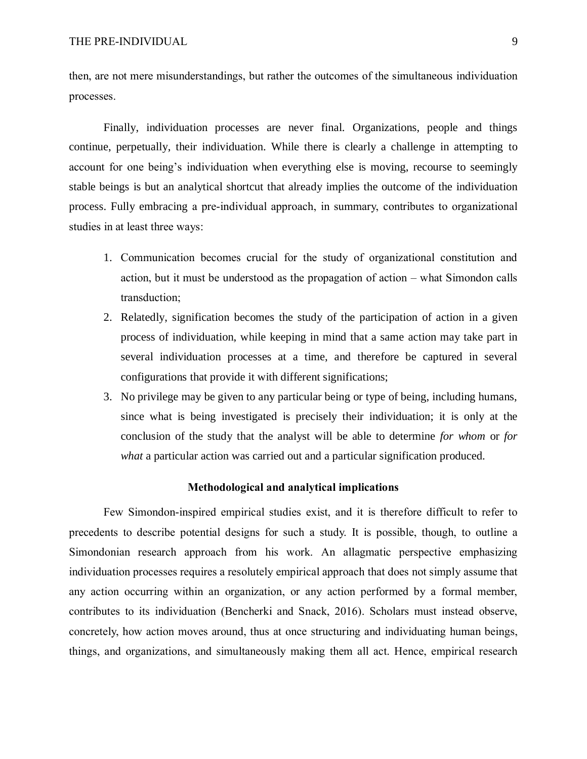then, are not mere misunderstandings, but rather the outcomes of the simultaneous individuation processes.

Finally, individuation processes are never final. Organizations, people and things continue, perpetually, their individuation. While there is clearly a challenge in attempting to account for one being's individuation when everything else is moving, recourse to seemingly stable beings is but an analytical shortcut that already implies the outcome of the individuation process. Fully embracing a pre-individual approach, in summary, contributes to organizational studies in at least three ways:

- 1. Communication becomes crucial for the study of organizational constitution and action, but it must be understood as the propagation of action ‒ what Simondon calls transduction;
- 2. Relatedly, signification becomes the study of the participation of action in a given process of individuation, while keeping in mind that a same action may take part in several individuation processes at a time, and therefore be captured in several configurations that provide it with different significations;
- 3. No privilege may be given to any particular being or type of being, including humans, since what is being investigated is precisely their individuation; it is only at the conclusion of the study that the analyst will be able to determine *for whom* or *for what* a particular action was carried out and a particular signification produced.

# **Methodological and analytical implications**

Few Simondon-inspired empirical studies exist, and it is therefore difficult to refer to precedents to describe potential designs for such a study. It is possible, though, to outline a Simondonian research approach from his work. An allagmatic perspective emphasizing individuation processes requires a resolutely empirical approach that does not simply assume that any action occurring within an organization, or any action performed by a formal member, contributes to its individuation (Bencherki and Snack, 2016). Scholars must instead observe, concretely, how action moves around, thus at once structuring and individuating human beings, things, and organizations, and simultaneously making them all act. Hence, empirical research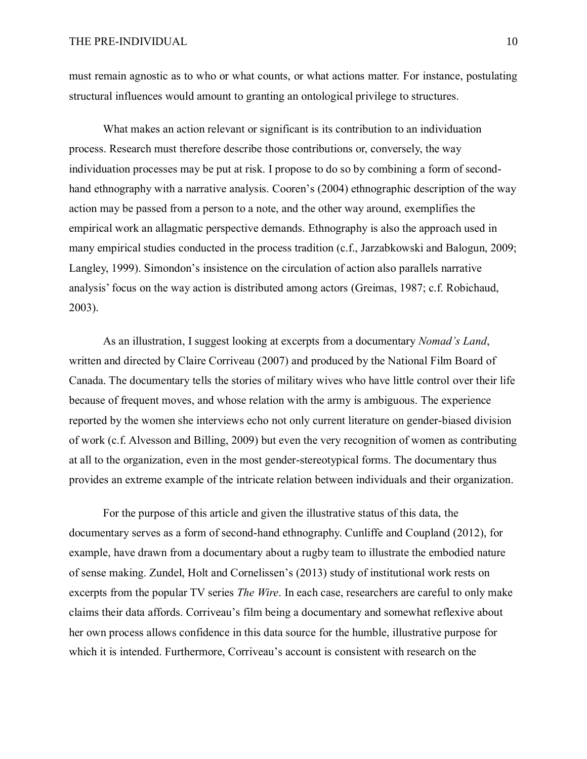must remain agnostic as to who or what counts, or what actions matter. For instance, postulating structural influences would amount to granting an ontological privilege to structures.

What makes an action relevant or significant is its contribution to an individuation process. Research must therefore describe those contributions or, conversely, the way individuation processes may be put at risk. I propose to do so by combining a form of secondhand ethnography with a narrative analysis. Cooren's (2004) ethnographic description of the way action may be passed from a person to a note, and the other way around, exemplifies the empirical work an allagmatic perspective demands. Ethnography is also the approach used in many empirical studies conducted in the process tradition (c.f., Jarzabkowski and Balogun, 2009; Langley, 1999). Simondon's insistence on the circulation of action also parallels narrative analysis' focus on the way action is distributed among actors (Greimas, 1987; c.f. Robichaud, 2003).

As an illustration, I suggest looking at excerpts from a documentary *Nomad's Land*, written and directed by Claire Corriveau (2007) and produced by the National Film Board of Canada. The documentary tells the stories of military wives who have little control over their life because of frequent moves, and whose relation with the army is ambiguous. The experience reported by the women she interviews echo not only current literature on gender-biased division of work (c.f. Alvesson and Billing, 2009) but even the very recognition of women as contributing at all to the organization, even in the most gender-stereotypical forms. The documentary thus provides an extreme example of the intricate relation between individuals and their organization.

For the purpose of this article and given the illustrative status of this data, the documentary serves as a form of second-hand ethnography. Cunliffe and Coupland (2012), for example, have drawn from a documentary about a rugby team to illustrate the embodied nature of sense making. Zundel, Holt and Cornelissen's (2013) study of institutional work rests on excerpts from the popular TV series *The Wire*. In each case, researchers are careful to only make claims their data affords. Corriveau's film being a documentary and somewhat reflexive about her own process allows confidence in this data source for the humble, illustrative purpose for which it is intended. Furthermore, Corriveau's account is consistent with research on the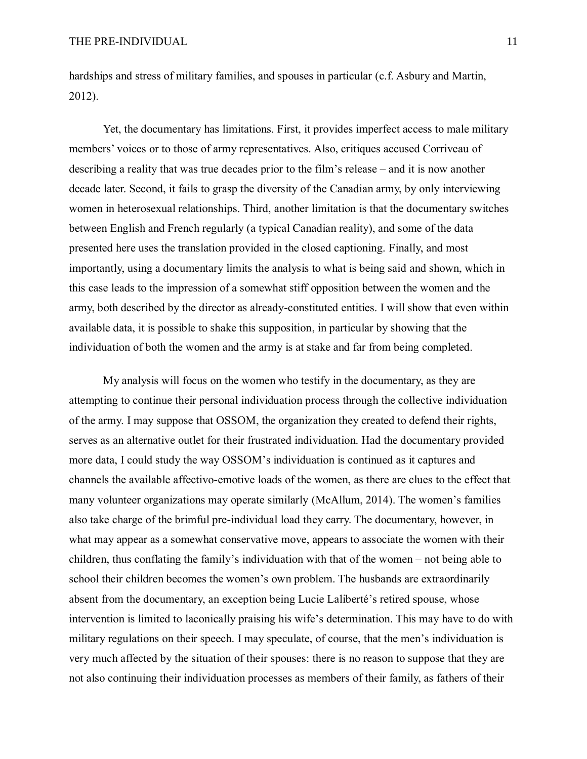hardships and stress of military families, and spouses in particular (c.f. Asbury and Martin, 2012).

Yet, the documentary has limitations. First, it provides imperfect access to male military members' voices or to those of army representatives. Also, critiques accused Corriveau of describing a reality that was true decades prior to the film's release – and it is now another decade later. Second, it fails to grasp the diversity of the Canadian army, by only interviewing women in heterosexual relationships. Third, another limitation is that the documentary switches between English and French regularly (a typical Canadian reality), and some of the data presented here uses the translation provided in the closed captioning. Finally, and most importantly, using a documentary limits the analysis to what is being said and shown, which in this case leads to the impression of a somewhat stiff opposition between the women and the army, both described by the director as already-constituted entities. I will show that even within available data, it is possible to shake this supposition, in particular by showing that the individuation of both the women and the army is at stake and far from being completed.

My analysis will focus on the women who testify in the documentary, as they are attempting to continue their personal individuation process through the collective individuation of the army. I may suppose that OSSOM, the organization they created to defend their rights, serves as an alternative outlet for their frustrated individuation. Had the documentary provided more data, I could study the way OSSOM's individuation is continued as it captures and channels the available affectivo-emotive loads of the women, as there are clues to the effect that many volunteer organizations may operate similarly (McAllum, 2014). The women's families also take charge of the brimful pre-individual load they carry. The documentary, however, in what may appear as a somewhat conservative move, appears to associate the women with their children, thus conflating the family's individuation with that of the women – not being able to school their children becomes the women's own problem. The husbands are extraordinarily absent from the documentary, an exception being Lucie Laliberté's retired spouse, whose intervention is limited to laconically praising his wife's determination. This may have to do with military regulations on their speech. I may speculate, of course, that the men's individuation is very much affected by the situation of their spouses: there is no reason to suppose that they are not also continuing their individuation processes as members of their family, as fathers of their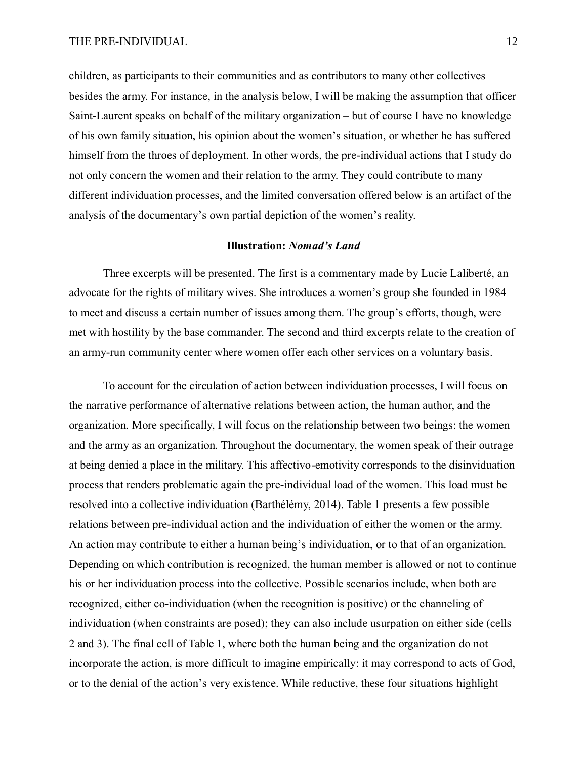children, as participants to their communities and as contributors to many other collectives besides the army. For instance, in the analysis below, I will be making the assumption that officer Saint-Laurent speaks on behalf of the military organization – but of course I have no knowledge of his own family situation, his opinion about the women's situation, or whether he has suffered himself from the throes of deployment. In other words, the pre-individual actions that I study do not only concern the women and their relation to the army. They could contribute to many different individuation processes, and the limited conversation offered below is an artifact of the analysis of the documentary's own partial depiction of the women's reality.

#### **Illustration:** *Nomad's Land*

Three excerpts will be presented. The first is a commentary made by Lucie Laliberté, an advocate for the rights of military wives. She introduces a women's group she founded in 1984 to meet and discuss a certain number of issues among them. The group's efforts, though, were met with hostility by the base commander. The second and third excerpts relate to the creation of an army-run community center where women offer each other services on a voluntary basis.

To account for the circulation of action between individuation processes, I will focus on the narrative performance of alternative relations between action, the human author, and the organization. More specifically, I will focus on the relationship between two beings: the women and the army as an organization. Throughout the documentary, the women speak of their outrage at being denied a place in the military. This affectivo-emotivity corresponds to the disinviduation process that renders problematic again the pre-individual load of the women. This load must be resolved into a collective individuation (Barthélémy, 2014). Table 1 presents a few possible relations between pre-individual action and the individuation of either the women or the army. An action may contribute to either a human being's individuation, or to that of an organization. Depending on which contribution is recognized, the human member is allowed or not to continue his or her individuation process into the collective. Possible scenarios include, when both are recognized, either co-individuation (when the recognition is positive) or the channeling of individuation (when constraints are posed); they can also include usurpation on either side (cells 2 and 3). The final cell of Table 1, where both the human being and the organization do not incorporate the action, is more difficult to imagine empirically: it may correspond to acts of God, or to the denial of the action's very existence. While reductive, these four situations highlight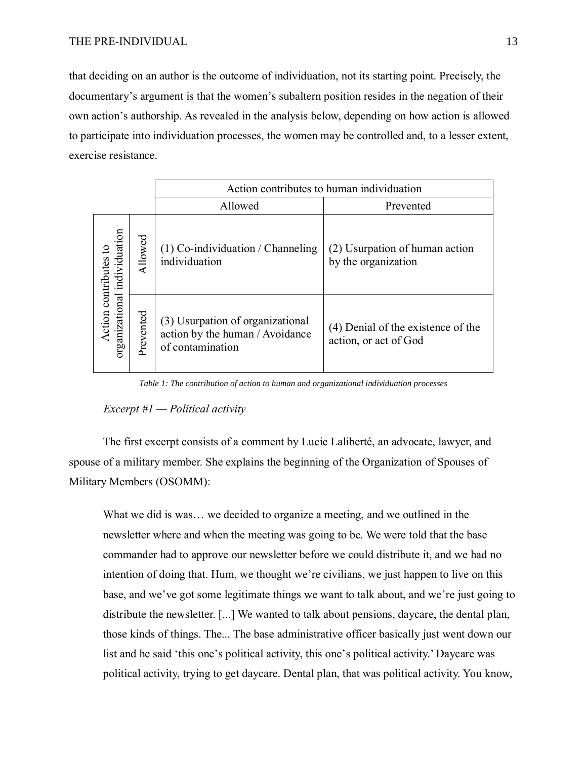that deciding on an author is the outcome of individuation, not its starting point. Precisely, the documentary's argument is that the women's subaltern position resides in the negation of their own action's authorship. As revealed in the analysis below, depending on how action is allowed to participate into individuation processes, the women may be controlled and, to a lesser extent, exercise resistance.

|                                                       |           | Action contributes to human individuation                                               |                                                             |
|-------------------------------------------------------|-----------|-----------------------------------------------------------------------------------------|-------------------------------------------------------------|
|                                                       |           | Allowed                                                                                 | Prevented                                                   |
| organizational individuation<br>Action contributes to | Allowed   | $(1)$ Co-individuation / Channeling<br>individuation                                    | (2) Usurpation of human action<br>by the organization       |
|                                                       | Prevented | (3) Usurpation of organizational<br>action by the human / Avoidance<br>of contamination | (4) Denial of the existence of the<br>action, or act of God |

*Table 1: The contribution of action to human and organizational individuation processes*

#### *Excerpt #1 — Political activity*

The first excerpt consists of a comment by Lucie Laliberté, an advocate, lawyer, and spouse of a military member. She explains the beginning of the Organization of Spouses of Military Members (OSOMM):

What we did is was… we decided to organize a meeting, and we outlined in the newsletter where and when the meeting was going to be. We were told that the base commander had to approve our newsletter before we could distribute it, and we had no intention of doing that. Hum, we thought we're civilians, we just happen to live on this base, and we've got some legitimate things we want to talk about, and we're just going to distribute the newsletter. [...] We wanted to talk about pensions, daycare, the dental plan, those kinds of things. The... The base administrative officer basically just went down our list and he said 'this one's political activity, this one's political activity.' Daycare was political activity, trying to get daycare. Dental plan, that was political activity. You know,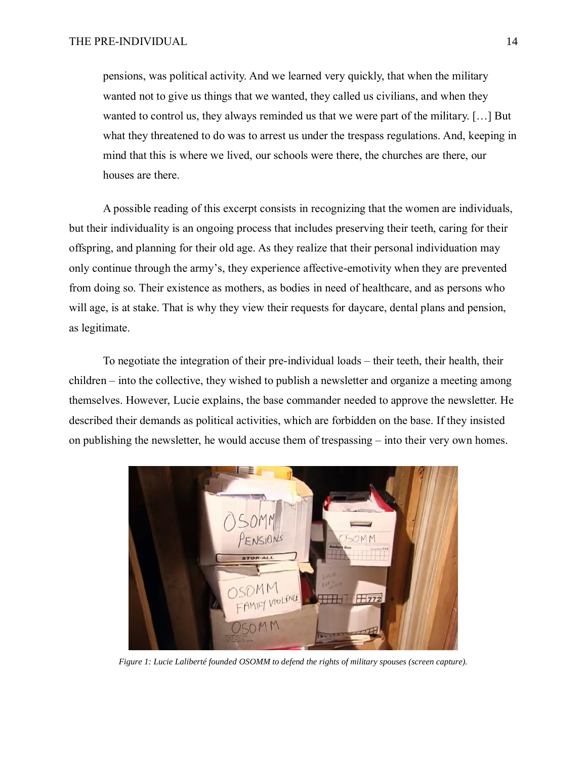pensions, was political activity. And we learned very quickly, that when the military wanted not to give us things that we wanted, they called us civilians, and when they wanted to control us, they always reminded us that we were part of the military. […] But what they threatened to do was to arrest us under the trespass regulations. And, keeping in mind that this is where we lived, our schools were there, the churches are there, our houses are there.

A possible reading of this excerpt consists in recognizing that the women are individuals, but their individuality is an ongoing process that includes preserving their teeth, caring for their offspring, and planning for their old age. As they realize that their personal individuation may only continue through the army's, they experience affective-emotivity when they are prevented from doing so. Their existence as mothers, as bodies in need of healthcare, and as persons who will age, is at stake. That is why they view their requests for daycare, dental plans and pension, as legitimate.

To negotiate the integration of their pre-individual loads – their teeth, their health, their children – into the collective, they wished to publish a newsletter and organize a meeting among themselves. However, Lucie explains, the base commander needed to approve the newsletter. He described their demands as political activities, which are forbidden on the base. If they insisted on publishing the newsletter, he would accuse them of trespassing – into their very own homes.



*Figure 1: Lucie Laliberté founded OSOMM to defend the rights of military spouses (screen capture).*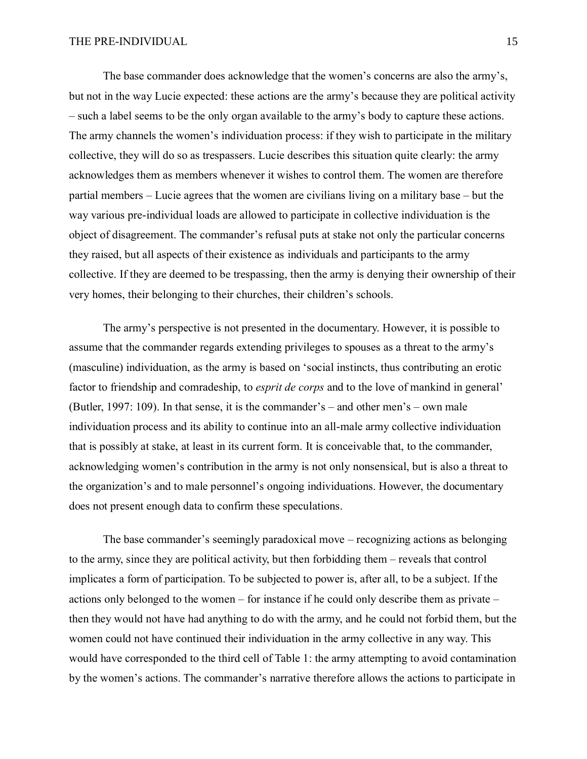The base commander does acknowledge that the women's concerns are also the army's, but not in the way Lucie expected: these actions are the army's because they are political activity – such a label seems to be the only organ available to the army's body to capture these actions. The army channels the women's individuation process: if they wish to participate in the military collective, they will do so as trespassers. Lucie describes this situation quite clearly: the army acknowledges them as members whenever it wishes to control them. The women are therefore partial members – Lucie agrees that the women are civilians living on a military base – but the way various pre-individual loads are allowed to participate in collective individuation is the object of disagreement. The commander's refusal puts at stake not only the particular concerns they raised, but all aspects of their existence as individuals and participants to the army collective. If they are deemed to be trespassing, then the army is denying their ownership of their very homes, their belonging to their churches, their children's schools.

The army's perspective is not presented in the documentary. However, it is possible to assume that the commander regards extending privileges to spouses as a threat to the army's (masculine) individuation, as the army is based on 'social instincts, thus contributing an erotic factor to friendship and comradeship, to *esprit de corps* and to the love of mankind in general' (Butler, 1997: 109). In that sense, it is the commander's – and other men's – own male individuation process and its ability to continue into an all-male army collective individuation that is possibly at stake, at least in its current form. It is conceivable that, to the commander, acknowledging women's contribution in the army is not only nonsensical, but is also a threat to the organization's and to male personnel's ongoing individuations. However, the documentary does not present enough data to confirm these speculations.

The base commander's seemingly paradoxical move – recognizing actions as belonging to the army, since they are political activity, but then forbidding them – reveals that control implicates a form of participation. To be subjected to power is, after all, to be a subject. If the actions only belonged to the women – for instance if he could only describe them as private – then they would not have had anything to do with the army, and he could not forbid them, but the women could not have continued their individuation in the army collective in any way. This would have corresponded to the third cell of Table 1: the army attempting to avoid contamination by the women's actions. The commander's narrative therefore allows the actions to participate in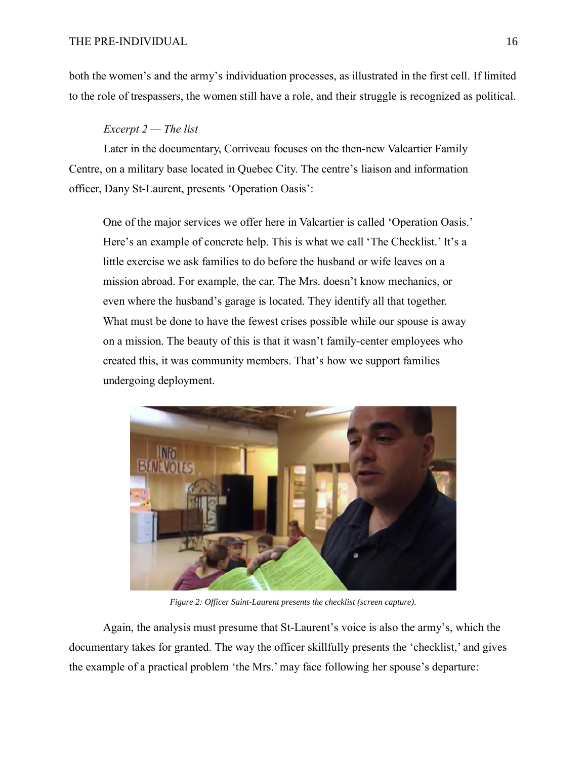both the women's and the army's individuation processes, as illustrated in the first cell. If limited to the role of trespassers, the women still have a role, and their struggle is recognized as political.

#### *Excerpt 2 — The list*

Later in the documentary, Corriveau focuses on the then-new Valcartier Family Centre, on a military base located in Quebec City. The centre's liaison and information officer, Dany St-Laurent, presents 'Operation Oasis':

One of the major services we offer here in Valcartier is called 'Operation Oasis.' Here's an example of concrete help. This is what we call 'The Checklist.' It's a little exercise we ask families to do before the husband or wife leaves on a mission abroad. For example, the car. The Mrs. doesn't know mechanics, or even where the husband's garage is located. They identify all that together. What must be done to have the fewest crises possible while our spouse is away on a mission. The beauty of this is that it wasn't family-center employees who created this, it was community members. That's how we support families undergoing deployment.



*Figure 2: Officer Saint-Laurent presents the checklist (screen capture).*

Again, the analysis must presume that St-Laurent's voice is also the army's, which the documentary takes for granted. The way the officer skillfully presents the 'checklist,' and gives the example of a practical problem 'the Mrs.' may face following her spouse's departure: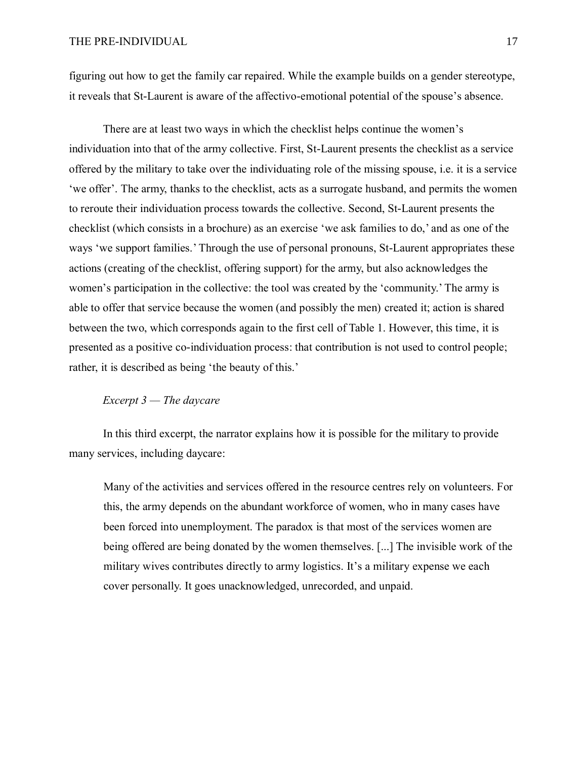figuring out how to get the family car repaired. While the example builds on a gender stereotype, it reveals that St-Laurent is aware of the affectivo-emotional potential of the spouse's absence.

There are at least two ways in which the checklist helps continue the women's individuation into that of the army collective. First, St-Laurent presents the checklist as a service offered by the military to take over the individuating role of the missing spouse, i.e. it is a service 'we offer'. The army, thanks to the checklist, acts as a surrogate husband, and permits the women to reroute their individuation process towards the collective. Second, St-Laurent presents the checklist (which consists in a brochure) as an exercise 'we ask families to do,' and as one of the ways 'we support families.' Through the use of personal pronouns, St-Laurent appropriates these actions (creating of the checklist, offering support) for the army, but also acknowledges the women's participation in the collective: the tool was created by the 'community.' The army is able to offer that service because the women (and possibly the men) created it; action is shared between the two, which corresponds again to the first cell of Table 1. However, this time, it is presented as a positive co-individuation process: that contribution is not used to control people; rather, it is described as being 'the beauty of this.'

# *Excerpt 3 — The daycare*

In this third excerpt, the narrator explains how it is possible for the military to provide many services, including daycare:

Many of the activities and services offered in the resource centres rely on volunteers. For this, the army depends on the abundant workforce of women, who in many cases have been forced into unemployment. The paradox is that most of the services women are being offered are being donated by the women themselves. [...] The invisible work of the military wives contributes directly to army logistics. It's a military expense we each cover personally. It goes unacknowledged, unrecorded, and unpaid.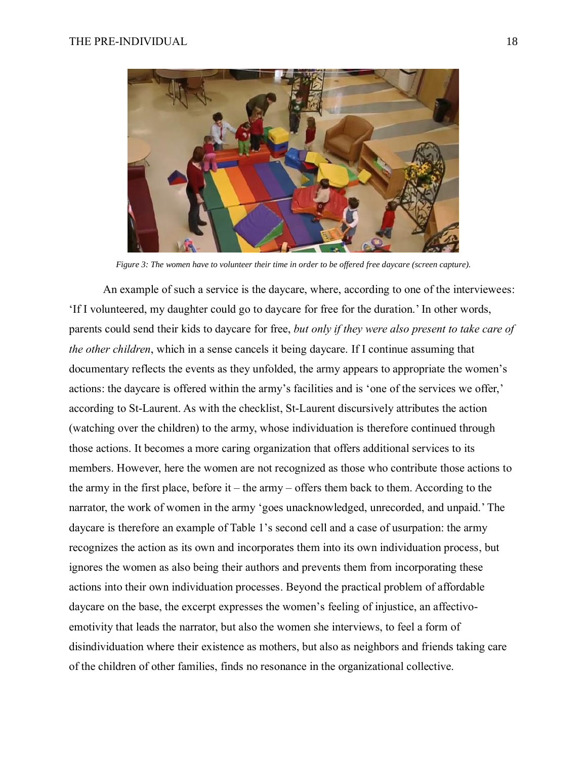

*Figure 3: The women have to volunteer their time in order to be offered free daycare (screen capture).*

An example of such a service is the daycare, where, according to one of the interviewees: 'If I volunteered, my daughter could go to daycare for free for the duration.' In other words, parents could send their kids to daycare for free, *but only if they were also present to take care of the other children*, which in a sense cancels it being daycare. If I continue assuming that documentary reflects the events as they unfolded, the army appears to appropriate the women's actions: the daycare is offered within the army's facilities and is 'one of the services we offer,' according to St-Laurent. As with the checklist, St-Laurent discursively attributes the action (watching over the children) to the army, whose individuation is therefore continued through those actions. It becomes a more caring organization that offers additional services to its members. However, here the women are not recognized as those who contribute those actions to the army in the first place, before it – the army – offers them back to them. According to the narrator, the work of women in the army 'goes unacknowledged, unrecorded, and unpaid.' The daycare is therefore an example of Table 1's second cell and a case of usurpation: the army recognizes the action as its own and incorporates them into its own individuation process, but ignores the women as also being their authors and prevents them from incorporating these actions into their own individuation processes. Beyond the practical problem of affordable daycare on the base, the excerpt expresses the women's feeling of injustice, an affectivoemotivity that leads the narrator, but also the women she interviews, to feel a form of disindividuation where their existence as mothers, but also as neighbors and friends taking care of the children of other families, finds no resonance in the organizational collective.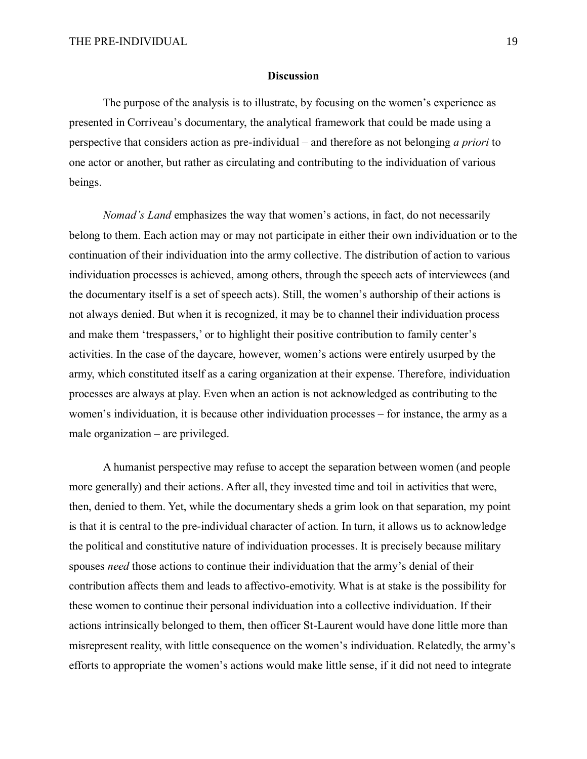#### **Discussion**

The purpose of the analysis is to illustrate, by focusing on the women's experience as presented in Corriveau's documentary, the analytical framework that could be made using a perspective that considers action as pre-individual – and therefore as not belonging *a priori* to one actor or another, but rather as circulating and contributing to the individuation of various beings.

*Nomad's Land* emphasizes the way that women's actions, in fact, do not necessarily belong to them. Each action may or may not participate in either their own individuation or to the continuation of their individuation into the army collective. The distribution of action to various individuation processes is achieved, among others, through the speech acts of interviewees (and the documentary itself is a set of speech acts). Still, the women's authorship of their actions is not always denied. But when it is recognized, it may be to channel their individuation process and make them 'trespassers,' or to highlight their positive contribution to family center's activities. In the case of the daycare, however, women's actions were entirely usurped by the army, which constituted itself as a caring organization at their expense. Therefore, individuation processes are always at play. Even when an action is not acknowledged as contributing to the women's individuation, it is because other individuation processes – for instance, the army as a male organization – are privileged.

A humanist perspective may refuse to accept the separation between women (and people more generally) and their actions. After all, they invested time and toil in activities that were, then, denied to them. Yet, while the documentary sheds a grim look on that separation, my point is that it is central to the pre-individual character of action. In turn, it allows us to acknowledge the political and constitutive nature of individuation processes. It is precisely because military spouses *need* those actions to continue their individuation that the army's denial of their contribution affects them and leads to affectivo-emotivity. What is at stake is the possibility for these women to continue their personal individuation into a collective individuation. If their actions intrinsically belonged to them, then officer St-Laurent would have done little more than misrepresent reality, with little consequence on the women's individuation. Relatedly, the army's efforts to appropriate the women's actions would make little sense, if it did not need to integrate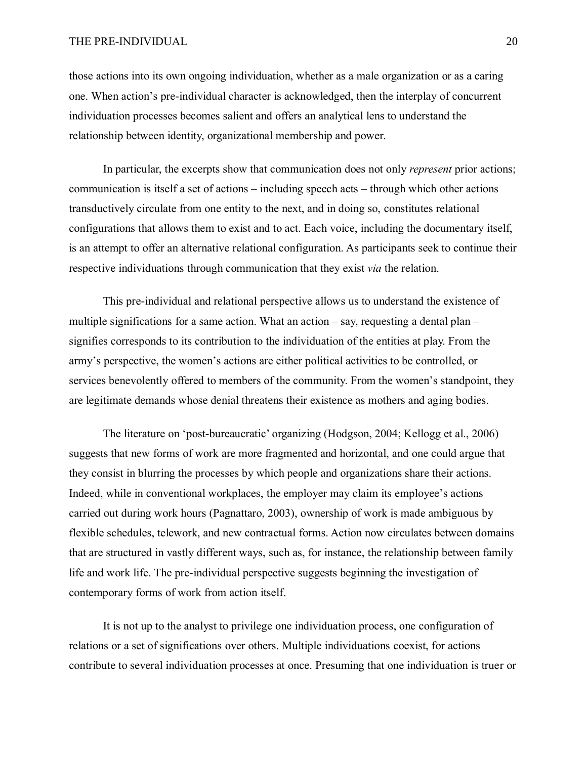those actions into its own ongoing individuation, whether as a male organization or as a caring one. When action's pre-individual character is acknowledged, then the interplay of concurrent individuation processes becomes salient and offers an analytical lens to understand the relationship between identity, organizational membership and power.

In particular, the excerpts show that communication does not only *represent* prior actions; communication is itself a set of actions – including speech acts – through which other actions transductively circulate from one entity to the next, and in doing so, constitutes relational configurations that allows them to exist and to act. Each voice, including the documentary itself, is an attempt to offer an alternative relational configuration. As participants seek to continue their respective individuations through communication that they exist *via* the relation.

This pre-individual and relational perspective allows us to understand the existence of multiple significations for a same action. What an action – say, requesting a dental plan – signifies corresponds to its contribution to the individuation of the entities at play. From the army's perspective, the women's actions are either political activities to be controlled, or services benevolently offered to members of the community. From the women's standpoint, they are legitimate demands whose denial threatens their existence as mothers and aging bodies.

The literature on 'post-bureaucratic' organizing (Hodgson, 2004; Kellogg et al., 2006) suggests that new forms of work are more fragmented and horizontal, and one could argue that they consist in blurring the processes by which people and organizations share their actions. Indeed, while in conventional workplaces, the employer may claim its employee's actions carried out during work hours (Pagnattaro, 2003), ownership of work is made ambiguous by flexible schedules, telework, and new contractual forms. Action now circulates between domains that are structured in vastly different ways, such as, for instance, the relationship between family life and work life. The pre-individual perspective suggests beginning the investigation of contemporary forms of work from action itself.

It is not up to the analyst to privilege one individuation process, one configuration of relations or a set of significations over others. Multiple individuations coexist, for actions contribute to several individuation processes at once. Presuming that one individuation is truer or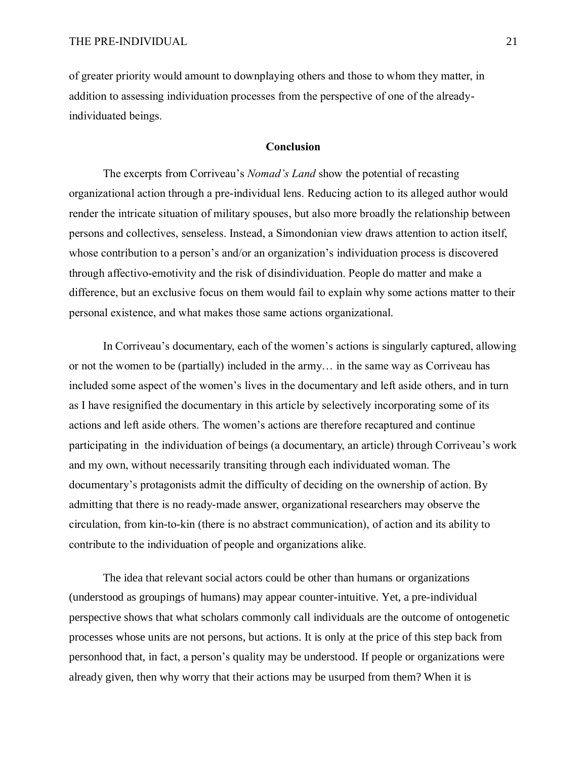of greater priority would amount to downplaying others and those to whom they matter, in addition to assessing individuation processes from the perspective of one of the alreadyindividuated beings.

# **Conclusion**

The excerpts from Corriveau's *Nomad's Land* show the potential of recasting organizational action through a pre-individual lens. Reducing action to its alleged author would render the intricate situation of military spouses, but also more broadly the relationship between persons and collectives, senseless. Instead, a Simondonian view draws attention to action itself, whose contribution to a person's and/or an organization's individuation process is discovered through affectivo-emotivity and the risk of disindividuation. People do matter and make a difference, but an exclusive focus on them would fail to explain why some actions matter to their personal existence, and what makes those same actions organizational.

In Corriveau's documentary, each of the women's actions is singularly captured, allowing or not the women to be (partially) included in the army… in the same way as Corriveau has included some aspect of the women's lives in the documentary and left aside others, and in turn as I have resignified the documentary in this article by selectively incorporating some of its actions and left aside others. The women's actions are therefore recaptured and continue participating in the individuation of beings (a documentary, an article) through Corriveau's work and my own, without necessarily transiting through each individuated woman. The documentary's protagonists admit the difficulty of deciding on the ownership of action. By admitting that there is no ready-made answer, organizational researchers may observe the circulation, from kin-to-kin (there is no abstract communication), of action and its ability to contribute to the individuation of people and organizations alike.

The idea that relevant social actors could be other than humans or organizations (understood as groupings of humans) may appear counter-intuitive. Yet, a pre-individual perspective shows that what scholars commonly call individuals are the outcome of ontogenetic processes whose units are not persons, but actions. It is only at the price of this step back from personhood that, in fact, a person's quality may be understood. If people or organizations were already given, then why worry that their actions may be usurped from them? When it is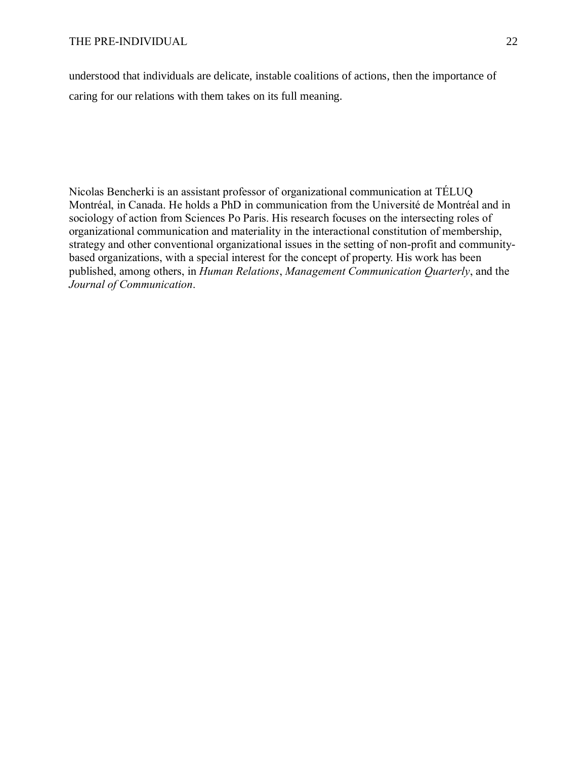understood that individuals are delicate, instable coalitions of actions, then the importance of caring for our relations with them takes on its full meaning.

Nicolas Bencherki is an assistant professor of organizational communication at TÉLUQ Montréal, in Canada. He holds a PhD in communication from the Université de Montréal and in sociology of action from Sciences Po Paris. His research focuses on the intersecting roles of organizational communication and materiality in the interactional constitution of membership, strategy and other conventional organizational issues in the setting of non-profit and communitybased organizations, with a special interest for the concept of property. His work has been published, among others, in *Human Relations*, *Management Communication Quarterly*, and the *Journal of Communication*.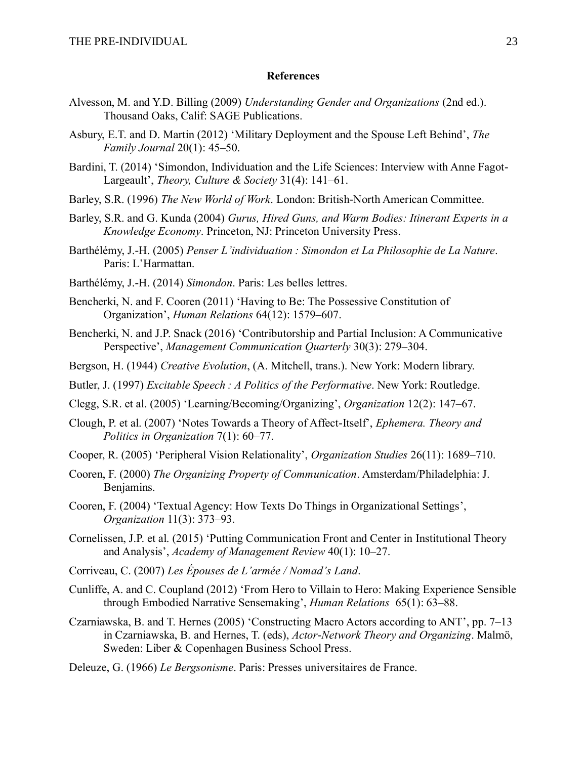# **References**

- Alvesson, M. and Y.D. Billing (2009) *Understanding Gender and Organizations* (2nd ed.). Thousand Oaks, Calif: SAGE Publications.
- Asbury, E.T. and D. Martin (2012) 'Military Deployment and the Spouse Left Behind', *The Family Journal* 20(1): 45–50.
- Bardini, T. (2014) 'Simondon, Individuation and the Life Sciences: Interview with Anne Fagot-Largeault', *Theory, Culture & Society* 31(4): 141–61.
- Barley, S.R. (1996) *The New World of Work*. London: British-North American Committee.
- Barley, S.R. and G. Kunda (2004) *Gurus, Hired Guns, and Warm Bodies: Itinerant Experts in a Knowledge Economy*. Princeton, NJ: Princeton University Press.
- Barthélémy, J.-H. (2005) *Penser L'individuation : Simondon et La Philosophie de La Nature*. Paris: L'Harmattan.
- Barthélémy, J.-H. (2014) *Simondon*. Paris: Les belles lettres.
- Bencherki, N. and F. Cooren (2011) 'Having to Be: The Possessive Constitution of Organization', *Human Relations* 64(12): 1579–607.
- Bencherki, N. and J.P. Snack (2016) 'Contributorship and Partial Inclusion: A Communicative Perspective', *Management Communication Quarterly* 30(3): 279–304.
- Bergson, H. (1944) *Creative Evolution*, (A. Mitchell, trans.). New York: Modern library.
- Butler, J. (1997) *Excitable Speech : A Politics of the Performative*. New York: Routledge.
- Clegg, S.R. et al. (2005) 'Learning/Becoming/Organizing', *Organization* 12(2): 147–67.
- Clough, P. et al. (2007) 'Notes Towards a Theory of Affect-Itself', *Ephemera. Theory and Politics in Organization* 7(1): 60–77.
- Cooper, R. (2005) 'Peripheral Vision Relationality', *Organization Studies* 26(11): 1689–710.
- Cooren, F. (2000) *The Organizing Property of Communication*. Amsterdam/Philadelphia: J. Benjamins.
- Cooren, F. (2004) 'Textual Agency: How Texts Do Things in Organizational Settings', *Organization* 11(3): 373–93.
- Cornelissen, J.P. et al. (2015) 'Putting Communication Front and Center in Institutional Theory and Analysis', *Academy of Management Review* 40(1): 10–27.
- Corriveau, C. (2007) *Les Épouses de L'armée / Nomad's Land*.
- Cunliffe, A. and C. Coupland (2012) 'From Hero to Villain to Hero: Making Experience Sensible through Embodied Narrative Sensemaking', *Human Relations* 65(1): 63–88.
- Czarniawska, B. and T. Hernes (2005) 'Constructing Macro Actors according to ANT', pp. 7–13 in Czarniawska, B. and Hernes, T. (eds), *Actor-Network Theory and Organizing*. Malmö, Sweden: Liber & Copenhagen Business School Press.
- Deleuze, G. (1966) *Le Bergsonisme*. Paris: Presses universitaires de France.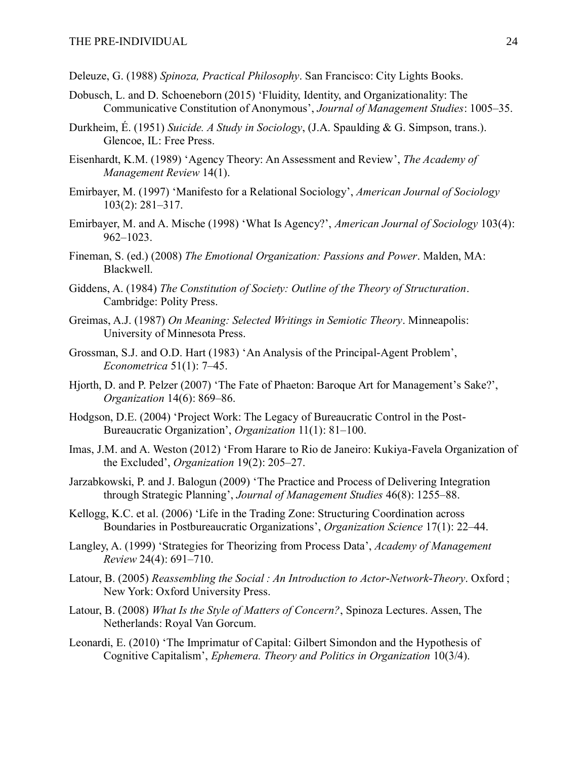- Deleuze, G. (1988) *Spinoza, Practical Philosophy*. San Francisco: City Lights Books.
- Dobusch, L. and D. Schoeneborn (2015) 'Fluidity, Identity, and Organizationality: The Communicative Constitution of Anonymous', *Journal of Management Studies*: 1005–35.
- Durkheim, É. (1951) *Suicide. A Study in Sociology*, (J.A. Spaulding & G. Simpson, trans.). Glencoe, IL: Free Press.
- Eisenhardt, K.M. (1989) 'Agency Theory: An Assessment and Review', *The Academy of Management Review* 14(1).
- Emirbayer, M. (1997) 'Manifesto for a Relational Sociology', *American Journal of Sociology* 103(2): 281–317.
- Emirbayer, M. and A. Mische (1998) 'What Is Agency?', *American Journal of Sociology* 103(4): 962–1023.
- Fineman, S. (ed.) (2008) *The Emotional Organization: Passions and Power*. Malden, MA: Blackwell.
- Giddens, A. (1984) *The Constitution of Society: Outline of the Theory of Structuration*. Cambridge: Polity Press.
- Greimas, A.J. (1987) *On Meaning: Selected Writings in Semiotic Theory*. Minneapolis: University of Minnesota Press.
- Grossman, S.J. and O.D. Hart (1983) 'An Analysis of the Principal-Agent Problem', *Econometrica* 51(1): 7–45.
- Hjorth, D. and P. Pelzer (2007) 'The Fate of Phaeton: Baroque Art for Management's Sake?', *Organization* 14(6): 869–86.
- Hodgson, D.E. (2004) 'Project Work: The Legacy of Bureaucratic Control in the Post-Bureaucratic Organization', *Organization* 11(1): 81–100.
- Imas, J.M. and A. Weston (2012) 'From Harare to Rio de Janeiro: Kukiya-Favela Organization of the Excluded', *Organization* 19(2): 205–27.
- Jarzabkowski, P. and J. Balogun (2009) 'The Practice and Process of Delivering Integration through Strategic Planning', *Journal of Management Studies* 46(8): 1255–88.
- Kellogg, K.C. et al. (2006) 'Life in the Trading Zone: Structuring Coordination across Boundaries in Postbureaucratic Organizations', *Organization Science* 17(1): 22–44.
- Langley, A. (1999) 'Strategies for Theorizing from Process Data', *Academy of Management Review* 24(4): 691–710.
- Latour, B. (2005) *Reassembling the Social : An Introduction to Actor-Network-Theory*. Oxford ; New York: Oxford University Press.
- Latour, B. (2008) *What Is the Style of Matters of Concern?*, Spinoza Lectures. Assen, The Netherlands: Royal Van Gorcum.
- Leonardi, E. (2010) 'The Imprimatur of Capital: Gilbert Simondon and the Hypothesis of Cognitive Capitalism', *Ephemera. Theory and Politics in Organization* 10(3/4).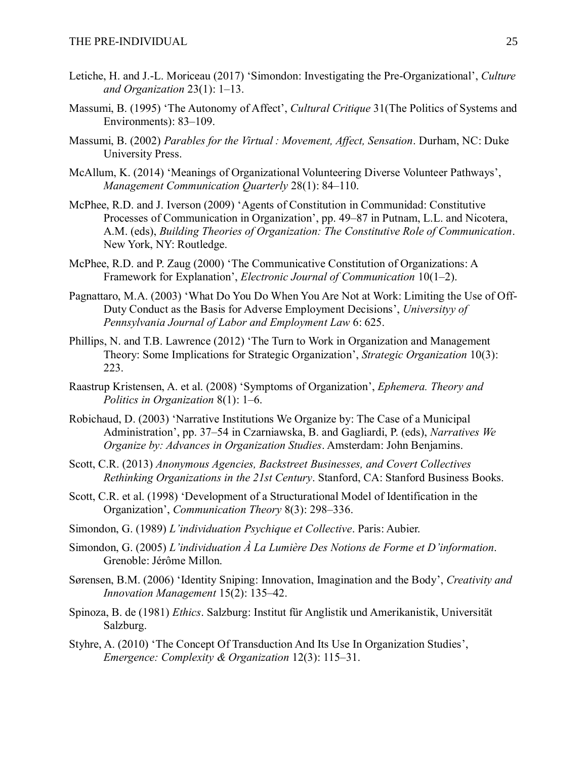- Letiche, H. and J.-L. Moriceau (2017) 'Simondon: Investigating the Pre-Organizational', *Culture and Organization* 23(1): 1–13.
- Massumi, B. (1995) 'The Autonomy of Affect', *Cultural Critique* 31(The Politics of Systems and Environments): 83–109.
- Massumi, B. (2002) *Parables for the Virtual : Movement, Affect, Sensation*. Durham, NC: Duke University Press.
- McAllum, K. (2014) 'Meanings of Organizational Volunteering Diverse Volunteer Pathways', *Management Communication Quarterly* 28(1): 84–110.
- McPhee, R.D. and J. Iverson (2009) 'Agents of Constitution in Communidad: Constitutive Processes of Communication in Organization', pp. 49–87 in Putnam, L.L. and Nicotera, A.M. (eds), *Building Theories of Organization: The Constitutive Role of Communication*. New York, NY: Routledge.
- McPhee, R.D. and P. Zaug (2000) 'The Communicative Constitution of Organizations: A Framework for Explanation', *Electronic Journal of Communication* 10(1–2).
- Pagnattaro, M.A. (2003) 'What Do You Do When You Are Not at Work: Limiting the Use of Off-Duty Conduct as the Basis for Adverse Employment Decisions', *Universityy of Pennsylvania Journal of Labor and Employment Law* 6: 625.
- Phillips, N. and T.B. Lawrence (2012) 'The Turn to Work in Organization and Management Theory: Some Implications for Strategic Organization', *Strategic Organization* 10(3): 223.
- Raastrup Kristensen, A. et al. (2008) 'Symptoms of Organization', *Ephemera. Theory and Politics in Organization* 8(1): 1–6.
- Robichaud, D. (2003) 'Narrative Institutions We Organize by: The Case of a Municipal Administration', pp. 37–54 in Czarniawska, B. and Gagliardi, P. (eds), *Narratives We Organize by: Advances in Organization Studies*. Amsterdam: John Benjamins.
- Scott, C.R. (2013) *Anonymous Agencies, Backstreet Businesses, and Covert Collectives Rethinking Organizations in the 21st Century*. Stanford, CA: Stanford Business Books.
- Scott, C.R. et al. (1998) 'Development of a Structurational Model of Identification in the Organization', *Communication Theory* 8(3): 298–336.
- Simondon, G. (1989) *L'individuation Psychique et Collective*. Paris: Aubier.
- Simondon, G. (2005) *L'individuation À La Lumière Des Notions de Forme et D'information*. Grenoble: Jérôme Millon.
- Sørensen, B.M. (2006) 'Identity Sniping: Innovation, Imagination and the Body', *Creativity and Innovation Management* 15(2): 135–42.
- Spinoza, B. de (1981) *Ethics*. Salzburg: Institut für Anglistik und Amerikanistik, Universität Salzburg.
- Styhre, A. (2010) 'The Concept Of Transduction And Its Use In Organization Studies', *Emergence: Complexity & Organization* 12(3): 115–31.